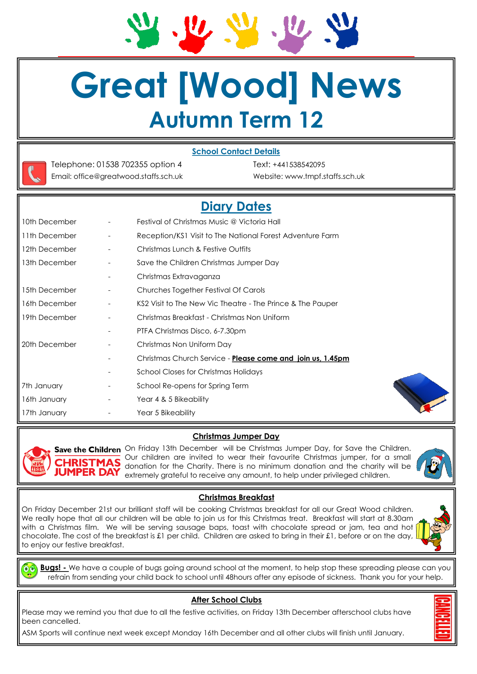# **Great [Wood] News Autumn Term 12**

# **School Contact Details**



Telephone: 01538 702355 option 4 Text: +441538542095 Email: office@greatwood.staffs.sch.uk Website: www.tmpf.staffs.sch.uk

# **Diary Dates**

| 10th December | Festival of Christmas Music @ Victoria Hall                |
|---------------|------------------------------------------------------------|
| 11th December | Reception/KS1 Visit to The National Forest Adventure Farm  |
| 12th December | Christmas Lunch & Festive Outfits                          |
| 13th December | Save the Children Christmas Jumper Day                     |
|               | Christmas Extravaganza                                     |
| 15th December | Churches Together Festival Of Carols                       |
| 16th December | KS2 Visit to The New Vic Theatre - The Prince & The Pauper |
| 19th December | Christmas Breakfast - Christmas Non Uniform                |
|               | PTFA Christmas Disco, 6-7.30pm                             |
| 20th December | Christmas Non Uniform Day                                  |
|               | Christmas Church Service - Please come and join us, 1.45pm |
|               | <b>School Closes for Christmas Holidays</b>                |
| 7th January   | School Re-opens for Spring Term                            |
| 16th January  | Year 4 & 5 Bikeability                                     |
| 17th January  | Year 5 Bikeability                                         |
|               |                                                            |





Save the Children On Friday 13th December will be Christmas Jumper Day, for Save the Children. Our children are invited to wear their favourite Christmas jumper, for a small donation for the Charity. There is no minimum donation and the charity will be extremely grateful to receive any amount, to help under privileged children.

# **Christmas Breakfast**

On Friday December 21st our brilliant staff will be cooking Christmas breakfast for all our Great Wood children. We really hope that all our children will be able to join us for this Christmas treat. Breakfast will start at 8.30am with a Christmas film. We will be serving sausage baps, toast with chocolate spread or jam, tea and hot chocolate. The cost of the breakfast is £1 per child. Children are asked to bring in their £1, before or on the day, to enjoy our festive breakfast.

**Bugs! -** We have a couple of bugs going around school at the moment, to help stop these spreading please can you refrain from sending your child back to school until 48hours after any episode of sickness. Thank you for your help.

# **After School Clubs**

Please may we remind you that due to all the festive activities, on Friday 13th December afterschool clubs have been cancelled.

ASM Sports will continue next week except Monday 16th December and all other clubs will finish until January.





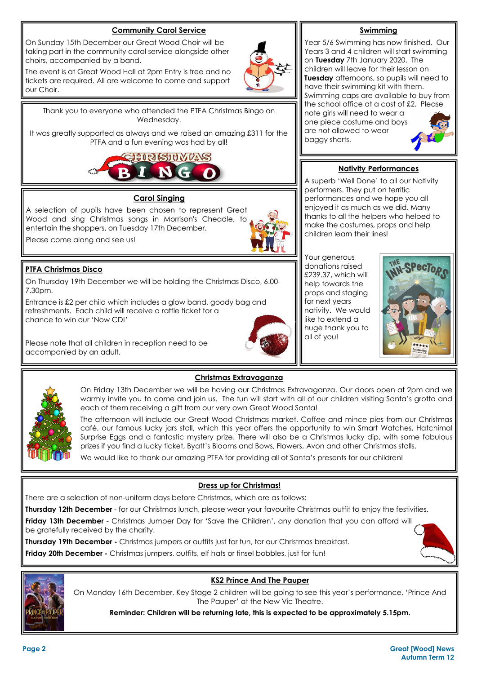# **Community Carol Service**

On Sunday 15th December our Great Wood Choir will be taking part in the community carol service alongside other choirs, accompanied by a band.

The event is at Great Wood Hall at 2pm Entry is free and no tickets are required. All are welcome to come and support our Choir.

Thank you to everyone who attended the PTFA Christmas Bingo on Wednesday.

It was greatly supported as always and we raised an amazing £311 for the PTFA and a fun evening was had by all!



# **Carol Singing**

A selection of pupils have been chosen to represent Great Wood and sing Christmas songs in Morrison's Cheadle, to entertain the shoppers, on Tuesday 17th December.

Please come along and see us!



On Thursday 19th December we will be holding the Christmas Disco, 6.00- 7.30pm.

Entrance is £2 per child which includes a glow band, goody bag and refreshments. Each child will receive a raffle ticket for a chance to win our 'Now CD!'

Please note that all children in reception need to be accompanied by an adult.



#### **Swimming**

Year 5/6 Swimming has now finished. Our Years 3 and 4 children will start swimming on **Tuesday** 7th January 2020. The children will leave for their lesson on **Tuesday** afternoons, so pupils will need to have their swimming kit with them. Swimming caps are available to buy from the school office at a cost of £2. Please note girls will need to wear a one piece costume and boys are not allowed to wear baggy shorts.

# **Nativity Performances**

A superb 'Well Done' to all our Nativity performers. They put on terrific performances and we hope you all enjoyed it as much as we did. Many thanks to all the helpers who helped to make the costumes, props and help children learn their lines!

Your generous donations raised £239.37, which will help towards the props and staging for next years nativity. We would like to extend a huge thank you to all of you!





# **Christmas Extravaganza**

On Friday 13th December we will be having our Christmas Extravaganza. Our doors open at 2pm and we warmly invite you to come and join us. The fun will start with all of our children visiting Santa's grotto and each of them receiving a gift from our very own Great Wood Santa!

The afternoon will include our Great Wood Christmas market, Coffee and mince pies from our Christmas café, our famous lucky jars stall, which this year offers the opportunity to win Smart Watches, Hatchimal Surprise Eggs and a fantastic mystery prize. There will also be a Christmas lucky dip, with some fabulous prizes if you find a lucky ticket, Byatt's Blooms and Bows, Flowers, Avon and other Christmas stalls.

We would like to thank our amazing PTFA for providing all of Santa's presents for our children!

# **Dress up for Christmas!**

There are a selection of non-uniform days before Christmas, which are as follows:

**Thursday 12th December** - for our Christmas lunch, please wear your favourite Christmas outfit to enjoy the festivities.

**Friday 13th December** - Christmas Jumper Day for 'Save the Children', any donation that you can afford will be gratefully received by the charity.

**Thursday 19th December -** Christmas jumpers or outfits just for fun, for our Christmas breakfast.

**Friday 20th December -** Christmas jumpers, outfits, elf hats or tinsel bobbles, just for fun!



# **KS2 Prince And The Pauper**

On Monday 16th December, Key Stage 2 children will be going to see this year's performance, 'Prince And The Pauper' at the New Vic Theatre.

**Reminder: Children will be returning late, this is expected to be approximately 5.15pm.**